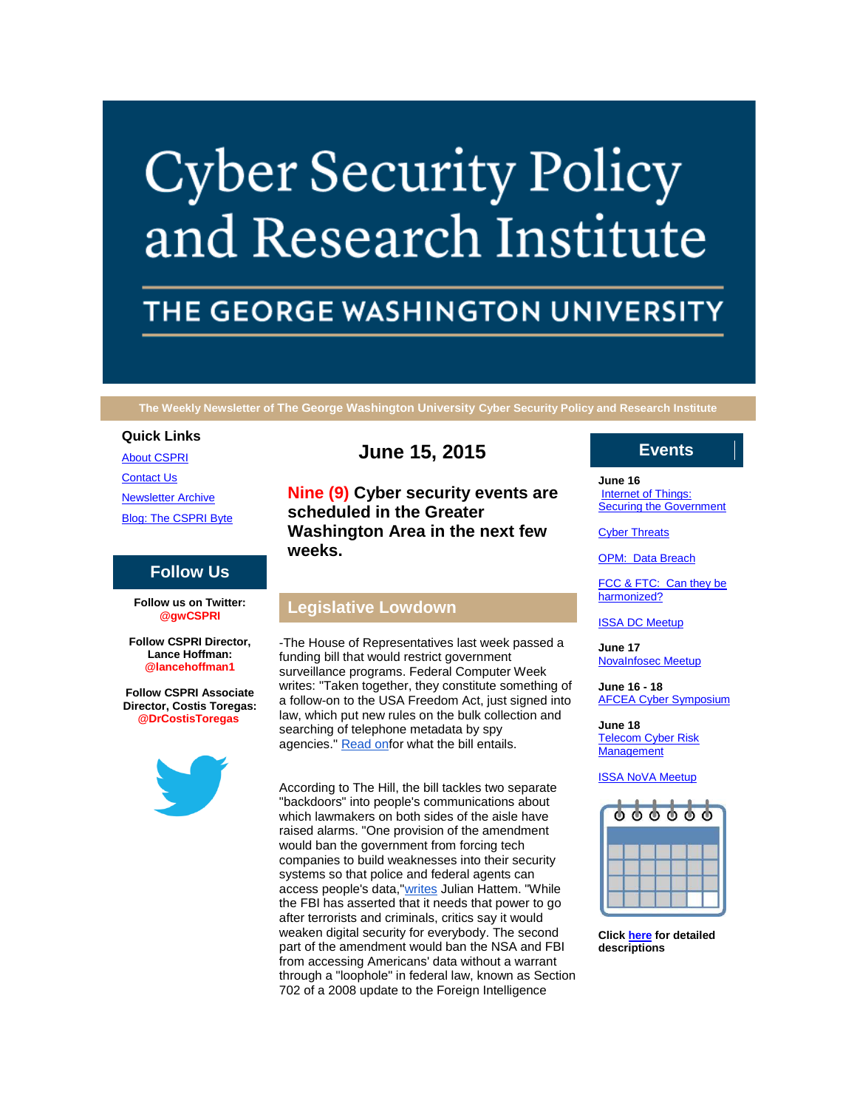# **Cyber Security Policy** and Research Institute

# THE GEORGE WASHINGTON UNIVERSITY

**The Weekly Newsletter of The George Washington University Cyber Security Policy and Research Institute**

#### **Quick Links**

[About CSPRI](http://r20.rs6.net/tn.jsp?f=001UAmc6Swnp96SZ5_M4jf06fLRP3pdNaN6w8Qn8KPaKntGokn-93HenJhAi7M5La9cD6NDPgBUGOnx9sToBsuGSnZqC4vlRBako6HBUoxJEv3ea1CfLTPaStNpoQm_qAcVG2_D5h19rOU9-wmwbP3W5iT9rnGUnMVopHCXTbYrvFBwO1Zu2zTvNChY6bW3Omyc&c=EUff_OOu03hxsyJtxpDMuRl_WRz3VWleOjRhpSDWk-1A78VKqed5dA==&ch=I_32WNSZ7zlGaf33Q2KGLj49Oo26DjvR8Z67SDgNTRY8j7VLEdxNIg==)

[Contact Us](http://r20.rs6.net/tn.jsp?f=001UAmc6Swnp96SZ5_M4jf06fLRP3pdNaN6w8Qn8KPaKntGokn-93HenJhAi7M5La9cNoS31b5tWHu2CALwU4MhitDc_ort_QdKrLEwRBAy9HQ5-sDcB3IpFdYURaId1lrf_-zGGaLRAZH5HnsDkNMSMuJvtWWz1D3G7iEHGGh7MKankZahbhdxCqCjXPbw6KDXJrhdirbrSF0=&c=EUff_OOu03hxsyJtxpDMuRl_WRz3VWleOjRhpSDWk-1A78VKqed5dA==&ch=I_32WNSZ7zlGaf33Q2KGLj49Oo26DjvR8Z67SDgNTRY8j7VLEdxNIg==)

[Newsletter Archive](http://r20.rs6.net/tn.jsp?f=001UAmc6Swnp96SZ5_M4jf06fLRP3pdNaN6w8Qn8KPaKntGokn-93HenJhAi7M5La9cW9gjYNn0l5MEhDraJj7a4R4u8nemKLIuOk5AIju1KyEe3rdKC3JjtYoDt4jlb6B0j_-vry78IkhgMGBXacdyJDsgwfG_FFpOTjOlXtdj59NVf_GgKOLW7chk3S0LTk_bYosJKgpV-_k=&c=EUff_OOu03hxsyJtxpDMuRl_WRz3VWleOjRhpSDWk-1A78VKqed5dA==&ch=I_32WNSZ7zlGaf33Q2KGLj49Oo26DjvR8Z67SDgNTRY8j7VLEdxNIg==)

[Blog: The CSPRI Byte](http://r20.rs6.net/tn.jsp?f=001UAmc6Swnp96SZ5_M4jf06fLRP3pdNaN6w8Qn8KPaKntGokn-93HenJhAi7M5La9cUxqiUn7XG8qjAaaLVg6rzJnDp2Wvr2wXt1r7RzWFWzl1wAr7cAa0Y7Hljo8ANNl8LDKtC0ILWUEVacY8kTt4wEGOsDWWujKBcpIyQO7OE3ZN5L7mYi0c3qLWW3Y5m3ss&c=EUff_OOu03hxsyJtxpDMuRl_WRz3VWleOjRhpSDWk-1A78VKqed5dA==&ch=I_32WNSZ7zlGaf33Q2KGLj49Oo26DjvR8Z67SDgNTRY8j7VLEdxNIg==)

# **Follow Us**

**Follow us on Twitter: @gwCSPRI**

**Follow CSPRI Director, Lance Hoffman: @lancehoffman1**

**Follow CSPRI Associate Director, Costis Toregas: @DrCostisToregas**



# **June 15, 2015**

**Nine (9) Cyber security events are scheduled in the Greater Washington Area in the next few weeks.**

# **Legislative Lowdown**

-The House of Representatives last week passed a funding bill that would restrict government surveillance programs. Federal Computer Week writes: "Taken together, they constitute something of a follow-on to the USA Freedom Act, just signed into law, which put new rules on the bulk collection and searching of telephone metadata by spy agencies." [Read onf](http://r20.rs6.net/tn.jsp?f=001UAmc6Swnp96SZ5_M4jf06fLRP3pdNaN6w8Qn8KPaKntGokn-93HenC8y7lXYrdyMRWpIhiQTypJCWEY96Qydt3fDFyJfNc1o0EZGYTnD03TsONWRMHpYmKfm4l7W7yYLcCoq85w2i9qX4o-feJnkClNOg4miE2B0tL1sn3jVDYleVVDuUbXXKfHcydX14HzER7xAbspXvxInimcdt2LjBMu7WH9yOK5N&c=EUff_OOu03hxsyJtxpDMuRl_WRz3VWleOjRhpSDWk-1A78VKqed5dA==&ch=I_32WNSZ7zlGaf33Q2KGLj49Oo26DjvR8Z67SDgNTRY8j7VLEdxNIg==)or what the bill entails.

According to The Hill, the bill tackles two separate "backdoors" into people's communications about which lawmakers on both sides of the aisle have raised alarms. "One provision of the amendment would ban the government from forcing tech companies to build weaknesses into their security systems so that police and federal agents can access people's data, ["writes](http://r20.rs6.net/tn.jsp?f=001UAmc6Swnp96SZ5_M4jf06fLRP3pdNaN6w8Qn8KPaKntGokn-93HenC8y7lXYrdyM9FVBBXjJ5XT9LiBw2lNep5Mnp3R8OhSIFENdKkgZmtHqTePzsfCaZoKNzO6shOWKDkr86OpsWy6ktDllumhCjXVJvUgMApSGzJNIsU70zg87tc7Fnfk9B-OxyPAlHlaV0MsJ9_ElVMbbWLgy6VyxQ5QrX8ZSf-9dsC6dHDe45oWKDq1DrqTHyf5eM-ydcarYXr_v0LtHE1SltP_gAKqPCCgPN7JxaCXI9ka7f_halqY=&c=EUff_OOu03hxsyJtxpDMuRl_WRz3VWleOjRhpSDWk-1A78VKqed5dA==&ch=I_32WNSZ7zlGaf33Q2KGLj49Oo26DjvR8Z67SDgNTRY8j7VLEdxNIg==) Julian Hattem. "While the FBI has asserted that it needs that power to go after terrorists and criminals, critics say it would weaken digital security for everybody. The second part of the amendment would ban the NSA and FBI from accessing Americans' data without a warrant through a "loophole" in federal law, known as Section 702 of a 2008 update to the Foreign Intelligence

# **Events**

#### **June 16**

Internet of Things: [Securing the Government](http://r20.rs6.net/tn.jsp?f=001UAmc6Swnp96SZ5_M4jf06fLRP3pdNaN6w8Qn8KPaKntGokn-93HenCH0q9orfzhz4dCp6e4xrICZ_J97k_zgtSPaI89Em2ZYnR9S12WCk2qph1lYLNZ3x9zexT4rxCVAPdYDGQqhaEPM9zd0bu5fAz_QvVsZaRxo-OvFIL0rhxZ8WQQUAxHmIiguOVb3eK27a5XF-vtLJ6w=&c=EUff_OOu03hxsyJtxpDMuRl_WRz3VWleOjRhpSDWk-1A78VKqed5dA==&ch=I_32WNSZ7zlGaf33Q2KGLj49Oo26DjvR8Z67SDgNTRY8j7VLEdxNIg==)

**[Cyber Threats](http://r20.rs6.net/tn.jsp?f=001UAmc6Swnp96SZ5_M4jf06fLRP3pdNaN6w8Qn8KPaKntGokn-93HenCH0q9orfzhz4dCp6e4xrICZ_J97k_zgtSPaI89Em2ZYnR9S12WCk2qph1lYLNZ3x9zexT4rxCVAPdYDGQqhaEPM9zd0bu5fAz_QvVsZaRxo-OvFIL0rhxZ8WQQUAxHmIiguOVb3eK27a5XF-vtLJ6w=&c=EUff_OOu03hxsyJtxpDMuRl_WRz3VWleOjRhpSDWk-1A78VKqed5dA==&ch=I_32WNSZ7zlGaf33Q2KGLj49Oo26DjvR8Z67SDgNTRY8j7VLEdxNIg==)** 

[OPM: Data Breach](http://r20.rs6.net/tn.jsp?f=001UAmc6Swnp96SZ5_M4jf06fLRP3pdNaN6w8Qn8KPaKntGokn-93HenCH0q9orfzhz4dCp6e4xrICZ_J97k_zgtSPaI89Em2ZYnR9S12WCk2qph1lYLNZ3x9zexT4rxCVAPdYDGQqhaEPM9zd0bu5fAz_QvVsZaRxo-OvFIL0rhxZ8WQQUAxHmIiguOVb3eK27a5XF-vtLJ6w=&c=EUff_OOu03hxsyJtxpDMuRl_WRz3VWleOjRhpSDWk-1A78VKqed5dA==&ch=I_32WNSZ7zlGaf33Q2KGLj49Oo26DjvR8Z67SDgNTRY8j7VLEdxNIg==)

[FCC & FTC: Can they be](http://r20.rs6.net/tn.jsp?f=001UAmc6Swnp96SZ5_M4jf06fLRP3pdNaN6w8Qn8KPaKntGokn-93HenCH0q9orfzhz4dCp6e4xrICZ_J97k_zgtSPaI89Em2ZYnR9S12WCk2qph1lYLNZ3x9zexT4rxCVAPdYDGQqhaEPM9zd0bu5fAz_QvVsZaRxo-OvFIL0rhxZ8WQQUAxHmIiguOVb3eK27a5XF-vtLJ6w=&c=EUff_OOu03hxsyJtxpDMuRl_WRz3VWleOjRhpSDWk-1A78VKqed5dA==&ch=I_32WNSZ7zlGaf33Q2KGLj49Oo26DjvR8Z67SDgNTRY8j7VLEdxNIg==)  [harmonized?](http://r20.rs6.net/tn.jsp?f=001UAmc6Swnp96SZ5_M4jf06fLRP3pdNaN6w8Qn8KPaKntGokn-93HenCH0q9orfzhz4dCp6e4xrICZ_J97k_zgtSPaI89Em2ZYnR9S12WCk2qph1lYLNZ3x9zexT4rxCVAPdYDGQqhaEPM9zd0bu5fAz_QvVsZaRxo-OvFIL0rhxZ8WQQUAxHmIiguOVb3eK27a5XF-vtLJ6w=&c=EUff_OOu03hxsyJtxpDMuRl_WRz3VWleOjRhpSDWk-1A78VKqed5dA==&ch=I_32WNSZ7zlGaf33Q2KGLj49Oo26DjvR8Z67SDgNTRY8j7VLEdxNIg==)

[ISSA DC Meetup](http://r20.rs6.net/tn.jsp?f=001UAmc6Swnp96SZ5_M4jf06fLRP3pdNaN6w8Qn8KPaKntGokn-93HenCH0q9orfzhz4dCp6e4xrICZ_J97k_zgtSPaI89Em2ZYnR9S12WCk2qph1lYLNZ3x9zexT4rxCVAPdYDGQqhaEPM9zd0bu5fAz_QvVsZaRxo-OvFIL0rhxZ8WQQUAxHmIiguOVb3eK27a5XF-vtLJ6w=&c=EUff_OOu03hxsyJtxpDMuRl_WRz3VWleOjRhpSDWk-1A78VKqed5dA==&ch=I_32WNSZ7zlGaf33Q2KGLj49Oo26DjvR8Z67SDgNTRY8j7VLEdxNIg==)

**June 17** [NovaInfosec Meetup](http://r20.rs6.net/tn.jsp?f=001UAmc6Swnp96SZ5_M4jf06fLRP3pdNaN6w8Qn8KPaKntGokn-93HenCH0q9orfzhz4dCp6e4xrICZ_J97k_zgtSPaI89Em2ZYnR9S12WCk2qph1lYLNZ3x9zexT4rxCVAPdYDGQqhaEPM9zd0bu5fAz_QvVsZaRxo-OvFIL0rhxZ8WQQUAxHmIiguOVb3eK27a5XF-vtLJ6w=&c=EUff_OOu03hxsyJtxpDMuRl_WRz3VWleOjRhpSDWk-1A78VKqed5dA==&ch=I_32WNSZ7zlGaf33Q2KGLj49Oo26DjvR8Z67SDgNTRY8j7VLEdxNIg==)

**June 16 - 18** [AFCEA Cyber Symposium](http://r20.rs6.net/tn.jsp?f=001UAmc6Swnp96SZ5_M4jf06fLRP3pdNaN6w8Qn8KPaKntGokn-93HenCH0q9orfzhz4dCp6e4xrICZ_J97k_zgtSPaI89Em2ZYnR9S12WCk2qph1lYLNZ3x9zexT4rxCVAPdYDGQqhaEPM9zd0bu5fAz_QvVsZaRxo-OvFIL0rhxZ8WQQUAxHmIiguOVb3eK27a5XF-vtLJ6w=&c=EUff_OOu03hxsyJtxpDMuRl_WRz3VWleOjRhpSDWk-1A78VKqed5dA==&ch=I_32WNSZ7zlGaf33Q2KGLj49Oo26DjvR8Z67SDgNTRY8j7VLEdxNIg==)

**June 18** [Telecom Cyber Risk](http://r20.rs6.net/tn.jsp?f=001UAmc6Swnp96SZ5_M4jf06fLRP3pdNaN6w8Qn8KPaKntGokn-93HenCH0q9orfzhz4dCp6e4xrICZ_J97k_zgtSPaI89Em2ZYnR9S12WCk2qph1lYLNZ3x9zexT4rxCVAPdYDGQqhaEPM9zd0bu5fAz_QvVsZaRxo-OvFIL0rhxZ8WQQUAxHmIiguOVb3eK27a5XF-vtLJ6w=&c=EUff_OOu03hxsyJtxpDMuRl_WRz3VWleOjRhpSDWk-1A78VKqed5dA==&ch=I_32WNSZ7zlGaf33Q2KGLj49Oo26DjvR8Z67SDgNTRY8j7VLEdxNIg==)  **[Management](http://r20.rs6.net/tn.jsp?f=001UAmc6Swnp96SZ5_M4jf06fLRP3pdNaN6w8Qn8KPaKntGokn-93HenCH0q9orfzhz4dCp6e4xrICZ_J97k_zgtSPaI89Em2ZYnR9S12WCk2qph1lYLNZ3x9zexT4rxCVAPdYDGQqhaEPM9zd0bu5fAz_QvVsZaRxo-OvFIL0rhxZ8WQQUAxHmIiguOVb3eK27a5XF-vtLJ6w=&c=EUff_OOu03hxsyJtxpDMuRl_WRz3VWleOjRhpSDWk-1A78VKqed5dA==&ch=I_32WNSZ7zlGaf33Q2KGLj49Oo26DjvR8Z67SDgNTRY8j7VLEdxNIg==)** 

[ISSA NoVA Meetup](http://r20.rs6.net/tn.jsp?f=001UAmc6Swnp96SZ5_M4jf06fLRP3pdNaN6w8Qn8KPaKntGokn-93HenCH0q9orfzhz4dCp6e4xrICZ_J97k_zgtSPaI89Em2ZYnR9S12WCk2qph1lYLNZ3x9zexT4rxCVAPdYDGQqhaEPM9zd0bu5fAz_QvVsZaRxo-OvFIL0rhxZ8WQQUAxHmIiguOVb3eK27a5XF-vtLJ6w=&c=EUff_OOu03hxsyJtxpDMuRl_WRz3VWleOjRhpSDWk-1A78VKqed5dA==&ch=I_32WNSZ7zlGaf33Q2KGLj49Oo26DjvR8Z67SDgNTRY8j7VLEdxNIg==)



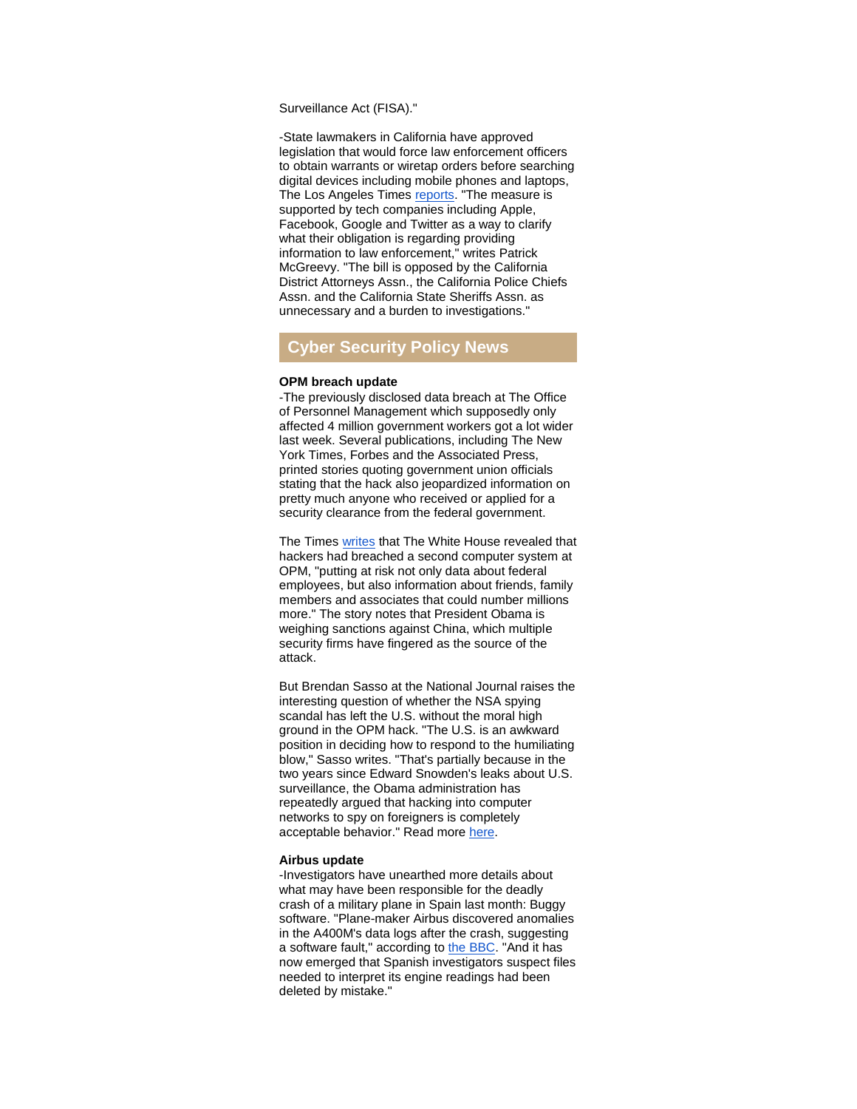Surveillance Act (FISA)."

-State lawmakers in California have approved legislation that would force law enforcement officers to obtain warrants or wiretap orders before searching digital devices including mobile phones and laptops, The Los Angeles Times [reports.](http://r20.rs6.net/tn.jsp?f=001UAmc6Swnp96SZ5_M4jf06fLRP3pdNaN6w8Qn8KPaKntGokn-93HenC8y7lXYrdyM4AyWwIG8Rckco1xhodw6dUnLT173qhrbyD_dPmYngi_zw_BBlymy_UEqYYrX49xXdLFrSKgxMZAmO_Q00newlx-AkkSUTg67ZW6GpBjG4irp2bF4wrzwmYpEpWTO9iOHyXTSWtNzwy5KURm_1I8KhpD3bYRVdeYRUOOa6M0ZSGOrG5MelMfgXA8RPmamkdPyKIsbIFdmPBRkt62co1yjhDPoYiVI8o0m&c=EUff_OOu03hxsyJtxpDMuRl_WRz3VWleOjRhpSDWk-1A78VKqed5dA==&ch=I_32WNSZ7zlGaf33Q2KGLj49Oo26DjvR8Z67SDgNTRY8j7VLEdxNIg==) "The measure is supported by tech companies including Apple, Facebook, Google and Twitter as a way to clarify what their obligation is regarding providing information to law enforcement," writes Patrick McGreevy. "The bill is opposed by the California District Attorneys Assn., the California Police Chiefs Assn. and the California State Sheriffs Assn. as unnecessary and a burden to investigations."

# **Cyber Security Policy News**

#### **OPM breach update**

-The previously disclosed data breach at The Office of Personnel Management which supposedly only affected 4 million government workers got a lot wider last week. Several publications, including The New York Times, Forbes and the Associated Press, printed stories quoting government union officials stating that the hack also jeopardized information on pretty much anyone who received or applied for a security clearance from the federal government.

The Times [writes](http://r20.rs6.net/tn.jsp?f=001UAmc6Swnp96SZ5_M4jf06fLRP3pdNaN6w8Qn8KPaKntGokn-93HenC8y7lXYrdyMgqf6ZIsmQEX_VkpvTqaQWXrg04Ul6KhLDRFpvmzt27EGIIPEymh68inp_oFW1GJw7lxJiN2Qsxea0T4j4oOEmK1K57R9qJJk89BtmOUN_ZTGNIT1_r7cRVNKpOtyS3HPGRZxV5OwRdwuSsrc1uIs3MWEICdEgCvLZ0KDYk5Ye3iZu-nxr7o2T37hwyK-XK-CAYtZFMkEj9MvjTjhOpUp0lbpvkwjlga1b4m_PsEznCo=&c=EUff_OOu03hxsyJtxpDMuRl_WRz3VWleOjRhpSDWk-1A78VKqed5dA==&ch=I_32WNSZ7zlGaf33Q2KGLj49Oo26DjvR8Z67SDgNTRY8j7VLEdxNIg==) that The White House revealed that hackers had breached a second computer system at OPM, "putting at risk not only data about federal employees, but also information about friends, family members and associates that could number millions more." The story notes that President Obama is weighing sanctions against China, which multiple security firms have fingered as the source of the attack.

But Brendan Sasso at the National Journal raises the interesting question of whether the NSA spying scandal has left the U.S. without the moral high ground in the OPM hack. "The U.S. is an awkward position in deciding how to respond to the humiliating blow," Sasso writes. "That's partially because in the two years since Edward Snowden's leaks about U.S. surveillance, the Obama administration has repeatedly argued that hacking into computer networks to spy on foreigners is completely acceptable behavior." Read more [here.](http://r20.rs6.net/tn.jsp?f=001UAmc6Swnp96SZ5_M4jf06fLRP3pdNaN6w8Qn8KPaKntGokn-93HenC8y7lXYrdyMBA5JVFjD2P3u5vv-v5ZR727lwUk6eub3KZhqs50KBxtmhStbSwXdfVbXhO9KwQVBmtxqTSMyAurErLuUswm5Fo2S7TY15DEcIboWBib69OLnho7TEoxsAldAlvl5HX_QQ7QRwdV7JjDZLzMxh4-b6CgnIiFzqvGTr1RgXnQXCUloWQCK4zCzNpVeudJMrVSE3Io-4lHxK7uQXA9DkcgCqs384kPJ2Sv1xTpl8HESYLk=&c=EUff_OOu03hxsyJtxpDMuRl_WRz3VWleOjRhpSDWk-1A78VKqed5dA==&ch=I_32WNSZ7zlGaf33Q2KGLj49Oo26DjvR8Z67SDgNTRY8j7VLEdxNIg==)

#### **Airbus update**

-Investigators have unearthed more details about what may have been responsible for the deadly crash of a military plane in Spain last month: Buggy software. "Plane-maker Airbus discovered anomalies in the A400M's data logs after the crash, suggesting a software fault," according to [the BBC.](http://r20.rs6.net/tn.jsp?f=001UAmc6Swnp96SZ5_M4jf06fLRP3pdNaN6w8Qn8KPaKntGokn-93HenC8y7lXYrdyMzL6sUo2ELZZjXGZHywWp49aLi64uAqhYt29ThXq95gFMgH85pKd784VvshdbF6zNRlUq537sqSWwxxlNgGmwYQVt91TLjggH7OcjiMXMiabS0ej9IEXmQurK87g-TUuEqYLm4jWsUWY=&c=EUff_OOu03hxsyJtxpDMuRl_WRz3VWleOjRhpSDWk-1A78VKqed5dA==&ch=I_32WNSZ7zlGaf33Q2KGLj49Oo26DjvR8Z67SDgNTRY8j7VLEdxNIg==) "And it has now emerged that Spanish investigators suspect files needed to interpret its engine readings had been deleted by mistake."